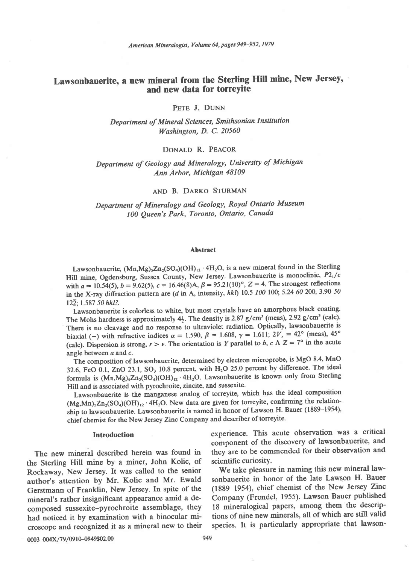American Mineralogist, Volume 64, pages 949-952, 1979

# Lawsonbauerite, a new mineral from the Sterling Hill mine, New Jersey, and new data for torreyite

PETE J. DUNN

Department of Mineral Sciences, Smithsonian Institution Washington, D. C. 20560

# DONALD R. PEACOR

# Department of Geology and Mineralogy, University of Michigan Ann Arbor, Michigan 48109

# AND B. DARKO STURMAN

Department of Mineralogy and Geology, Royal Ontario Museum 100 Queen's Park, Toronto, Ontario, Canada

#### Abstract

Lawsonbauerite,  $(Mn, Mg)_5Zn_2(SO_4)(OH)_{12} \cdot 4H_2O$ , is a new mineral found in the Sterling Hill mine, Ogdensburg, Sussex County, New Jersey. Lawsonbauerite is monoclinic,  $P2_1/c$ with  $a = 10.54(5)$ ,  $b = 9.62(5)$ ,  $c = 16.46(8)$ A,  $\beta = 95.21(10)$ °,  $Z = 4$ . The strongest reflections in the X-ray diffraction pattern are (d in A, intensity, hkl) 10.5 100 100; 5.24 60 200; 3.90 50  $12\overline{2}$ ; 1.587 50 hkl?.

Lawsonbauerite is colorless to white, but most crystals have an amorphous black coating. The Mohs hardness is approximately  $4\frac{1}{2}$ . The density is 2.87 g/cm<sup>3</sup> (meas), 2.92 g/cm<sup>3</sup> (calc). There is no cleavage and no response to ultraviolet radiation. Optically, lawsonbauerite is biaxial (-) with refractive indices  $\alpha = 1.590$ ,  $\beta = 1.608$ ,  $\gamma = 1.611$ ;  $2V_x = 42^{\circ}$  (meas),  $45^{\circ}$ (calc). Dispersion is strong,  $r > v$ . The orientation is Y parallel to b, c  $\Lambda Z = 7^{\circ}$  in the acute angle between  $a$  and  $c$ .

The composition of lawsonbauerite, determined by electron microprobe, is MgO 8.4, MnO 32.6, FeO 0.1, ZnO 23.1, SO<sub>3</sub> 10.8 percent, with  $H<sub>2</sub>O$  25.0 percent by difference. The ideal formula is  $(Mn, Mg)_5Zn_2(SO_4)(OH)_{12} \cdot 4H_2O$ . Lawsonbauerite is known only from Sterling Hill and is associated with pyrochroite, zincite, and sussexite.

Lawsonbauerite is the manganese analog of torreyite, which has the ideal composition  $(Mg, Mn)$ <sub>5</sub>Zn<sub>2</sub>(SO<sub>4</sub>)(OH)<sub>12</sub> · 4H<sub>2</sub>O. New data are given for torreyite, confirming the relationship to lawsonbauerite. Lawsonbauerite is named in honor of Lawson H. Bauer (1889-1954), chief chemist for the New Jersey Zinc Company and describer of torreyite.

the Sterling Hill mine by a miner, John Kolic, of scientific curiosity.<br>Rockaway, New Jersey, It was called to the senior We take pleasure in naming this new mineral law-Rockaway, New Jersey. It was called to the senior We take pleasure in naming this new mineral law-<br>author's attention by Mr. Kolic and Mr. Ewald sonbauerite in honor of the late Lawson H. Bauer author's attention by Mr. Kolic and Mr. Ewald sonbauerite in honor of the late Lawson H. Bauer<br>Gerstmann of Franklin, New Jersey. In spite of the (1889–1954), chief chemist of the New Jersey Zinc Gerstmann of Franklin, New Jersey. In spite of the mineral's rather insignificant appearance amid a decomposed sussexite-pyrochroite assemblage, they 18 mineralogical papers, among them the descrip-<br>had noticed it by examination with a binocular mi-<br>consider the new minerals, all of which are still valid had noticed it by examination with a binocular mi-<br>croscope and recognized it as a mineral new to their species. It is particularly appropriate that lawsoncroscope and recognized it as a mineral new to their

Introduction experience. This acute observation was a critical component of the discovery of lawsonbauerite, and The new mineral described herein was found in they are to be commended for their observation and<br>e Sterling Hill mine by a miner. John Kolic, of scientific curiosity.

Company (Frondel, 1955). Lawson Bauer published<br>18 mineralogical papers, among them the descrip-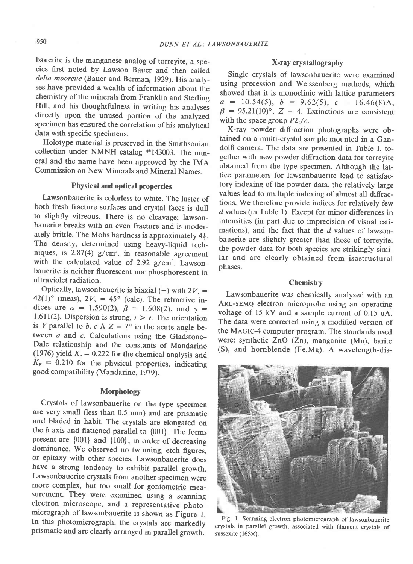bauerite is the manganese analog of torreyite, a species first noted by Lawson Bauer and then called delta-mooreite (Bauer and Berman, 1929). His analyses have provided a wealth of information about the chemistry of the minerals from Franklin and Sterling Hill, and his thoughtfulness in writing his analyses directly upon the unused portion of the analyzed specimen has ensured the correlation of his analytical data with specific specimens.

Holotype material is preserved in the Smithsonian collection under NMNH catalog #143003. The mineral and the name have been approved by the IMA Commission on New Minerals and Mineral Names.

# Physical and optical properties

Lawsonbauerite is colorless to white. The luster of both fresh fracture surfaces and crystal faces is dull to slightly vitreous. There is no cleavage; lawsonbauerite breaks with an even fracture and is moderately brittle. The Mohs hardness is approximately  $4\frac{1}{2}$ . The density, determined using heavy-liquid techniques, is  $2.87(4)$  g/cm<sup>3</sup>, in reasonable agreement with the calculated value of  $2.92$  g/cm<sup>3</sup>. Lawsonbauerite is neither fluorescent nor phosphorescent in ultraviolet radiation.

Optically, lawsonbauerite is biaxial (-) with  $2V_x =$ 42(1)° (meas),  $2V_x = 45^\circ$  (calc). The refractive indices are  $\alpha = 1.590(2)$ ,  $\beta = 1.608(2)$ , and  $\gamma =$ 1.611(2). Dispersion is strong,  $r > v$ . The orientation is Y parallel to b, c  $\Lambda$  Z = 7° in the acute angle between  $a$  and  $c$ . Calculations using the Gladstone-Dale relationship and the constants of Mandarino (1976) yield  $K_c = 0.222$  for the chemical analysis and  $K<sub>P</sub> = 0.210$  for the physical properties, indicating good compatibility (Mandarino, 1979).

#### Morphology

Crystals of lawsonbauerite on the type specimen are very small (less than 0.5 mm) and are prismatic and bladed in habit. The crystals are elongated on the  $b$  axis and flattened parallel to  $\{001\}$ . The forms present are  $\{001\}$  and  $\{100\}$ , in order of decreasing dominance. We observed no twinning, etch figures, or epitaxy with other species. Lawsonbauerite does have a strong tendency to exhibit parallel growth. Lawsonbauerite crystals from another specimen were more complex, but too small for goniometric mea\_ surement. They were examined using a scanning electron microscope, and a representative photomicrograph of lawsonbauerite is shown as Figure L In this photomicrograph, the crystals are markedly prismatic and are clearly arranged in parallel growth.

# X-ray crystallography

Single crystals of lawsonbauerite were examined using precession and Weissenberg methods, which showed that it is monoclinic with lattice parameters  $a = 10.54(5), b = 9.62(5), c = 16.46(8)$ A,  $\beta = 95.21(10)$ °, Z = 4. Extinctions are consistent with the space group  $P2_1/c$ .

X-ray powder diffraction photographs were obtained on a multi-crystal sample mounted in a Gandolfi camera. The data are presented in Table l, together with new powder diffraction data for torreyite obtained from the type specimen. Although the lattice parameters for lawsonbauerite lead to satisfactory indexing of the powder data, the relatively large values lead to multiple indexing of almost all diffractions. We therefore provide indices for relatively few d values (in Table l). Except for minor differences in intensities (in part due to imprecision of visual estimations), and the fact that the  $d$  values of lawsonbauerite are slightly greater than those of torreyite, the powder data for both species are strikingly similar and are clearly obtained from isostructural phases.

### **Chemistry**

Lawsonbauerite was chemically analyzed with an ARL-SEMQ electron microprobe using an operating voltage of 15 kV and a sample current of 0.15  $\mu$ A. The data were corrected using a modified version of the MAGIC-4 computer program. The standards used were: synthetic ZnO (Zn), manganite (Mn), barite (S), and hornblende (Fe,Mg). A wavelength-dis-



Fig. l. Scanning electron photomicrograph of lawsonbauerite crystals in parallel growth, associated with filament crystals of sussexite (165×).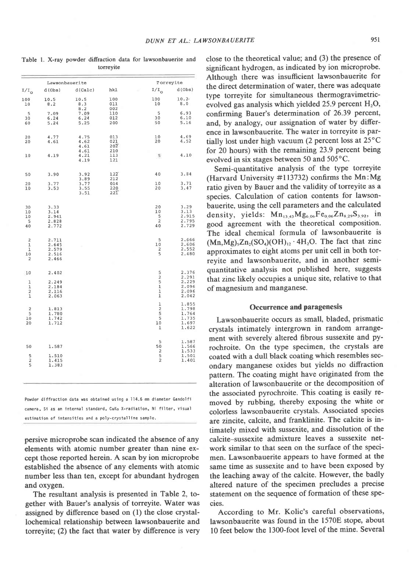Table l. X-ray powder difraction data for lawsonbauerite and torreyite

|                                                                         | Lawsonbauerite                            |                      |                                | Torreyite                                    |                                                    |  |
|-------------------------------------------------------------------------|-------------------------------------------|----------------------|--------------------------------|----------------------------------------------|----------------------------------------------------|--|
| $I/I$ <sub>0</sub>                                                      | d(Obs)                                    | d(Calc)              | hkl                            | $I/I_0$                                      | d(Obs)                                             |  |
| 100<br>10                                                               | 10.5<br>8.2                               | 10.5<br>8.3<br>8.2   | 100<br>011<br>002              | 100<br>10                                    | 10.2<br>8.0                                        |  |
| 5<br>30<br>60                                                           | 7.09<br>6.24<br>5.24                      | 7.09<br>6.24<br>5.25 | 110<br>012<br>200              | 5<br>30<br>50                                | 6.93<br>6.10<br>5.16                               |  |
| 20<br>20                                                                | 4.77<br>4.61                              | 4.75<br>4.62<br>4.61 | 013<br>021<br>$20\overline{2}$ | 10<br>20                                     | 4.69<br>4.52                                       |  |
| 10                                                                      | 4.19                                      | 4.61<br>4.21<br>4.19 | 210<br>113<br>121              | 5                                            | 4.10                                               |  |
| 50                                                                      | 3.90                                      | 3.92<br>3.89         | 122<br>212                     | 40                                           | 3.84                                               |  |
| 20<br>10                                                                | 3.77<br>3.53                              | 3.77<br>3.55<br>3.51 | 014<br>220<br>$22\overline{1}$ | 10<br>20                                     | 3.71<br>3.47                                       |  |
| 30<br>10<br>10                                                          | 3.33<br>3.14<br>2.941                     |                      |                                | 20<br>10<br>5                                | 3.29<br>3.13<br>2.915                              |  |
| 5<br>40                                                                 | 2.828<br>2.772                            |                      |                                | $\overline{a}$<br>40                         | 2.795<br>2.729                                     |  |
| $\overline{c}$<br>$\overline{1}$<br>ı<br>10<br>2                        | 2.711<br>2.645<br>2.579<br>2.516<br>2.466 |                      |                                | 5<br>10<br>2<br>5                            | 2.666<br>2.606<br>2.552<br>2.480                   |  |
| 10                                                                      | 2.402                                     |                      |                                | $\frac{5}{2}$                                | 2.376<br>2.291                                     |  |
| $\mathbf 1$<br>$\mathbf 1$<br>$\overline{\mathbf{c}}$<br>$\overline{1}$ | 2.249<br>2.184<br>2.116<br>2.063          |                      |                                | 5<br>$\overline{1}$<br>$\frac{1}{1}$         | 2.229<br>2.096<br>2.096<br>2.042                   |  |
| $\overline{\mathbf{c}}$<br>5<br>10<br>20                                | 1.813<br>1.780<br>1.742<br>1.712          |                      |                                | $\frac{1}{2}$<br>5<br>5<br>10<br>ī           | 1.855<br>1.798<br>1.764<br>1.735<br>1.697<br>1.622 |  |
| 50                                                                      | 1.587                                     |                      |                                | 5<br>50                                      | 1.587<br>1.566<br>1.533                            |  |
| $\frac{5}{2}$                                                           | 1.510<br>1.415<br>1.383                   |                      |                                | $\begin{array}{c}\n2 \\ 5 \\ 2\n\end{array}$ | 1.501<br>1.401                                     |  |

Powder diffraction data was obtained using a 114.5 nm diameter Gandolfi camera, Si as an internal standard, CuKq X-radiation, Ni filter, visual estimation of intensities and a poly-crystalline sample.

persive microprobe scan indicated the absence of any elements with atomic number greater than nine except those reported herein. A scan by ion microprobe established the absence of any elements with atomic number less than ten, except for abundant hydrogen and oxygen.

The resultant analysis is presented in Table 2, together with Bauer's analysis of torreyite. Water was assigned by difference based on (l) the close crystallochemical relationship between lawsonbauerite and torreyite; (2) the fact that water by difference is very

close to the theoretical value; and (3) the presence of significant hydrogen, as indicated by ion microprobe. Although there was insufficient lawsonbauerite for the direct determination of water, there was adequate type torreyite for simultaneous thermogravimetricevolved gas analysis which yielded 25.9 percent  $H_2O$ , confirming Bauer's determination of 26.39 percent, and, by analogy, our assignation of water by difference in lawsonbauerite. The water in torreyite is partially lost under high vacuum (2 percent loss at 25°C for 2O hours) with the remaining 23.9 percent being evolved in six stages between 50 and 505'C.

Semi-quantitative analysis of the type torreyite (Harvard University #113732) confirms the Mn:Mg ratio given by Bauer and the validity of torreyite as a species. Calculation of cation contents for lawsonbauerite, using the cell parameters and the calculated density, yields:  $Mn_{13.43}Mg_{6.06}Fe_{0.06}Zn_{8.29}S_{3.92}$ , in good agreement with the theoretical composition' The ideal chemical formula of lawsonbauerite is  $(Mn, Mg), Zn_2(SO_4)(OH)_{12} \cdot 4H_2O$ . The fact that zinc approximates to eight atoms per unit cell in both torreyite and lawsonbauerite, and in another semiquantitative analysis not published here, suggests that zinc likely occupies a unique site, relative to that of magnesium and manganese.

# Occurrence and paragenesis

Lawsonbauerite occurs as small, bladed, prismatic crystals intimately intergrown in random arrangement with severely altered fibrous sussexite and pyrochroite. On the type specimen, the crystals are coated with a dull black coating which resembles secondary manganese oxides but yields no diffraction pattern. The coating might have originated from the alteration of lawsonbauerite or the decomposition of the associated pyrochroite. This coating is easily removed by rubbing, thereby exposing the white or colorless lawsonbauerite crystals. Associated species are zincite, calcite, and franklinite. The calcite is intimately mixed with sussexite, and dissolution of the calcite-sussexite admixture leaves a sussexite network similar to that seen on the surface of the specimen. Lawsonbauerite appears to have formed at the same time as sussexite and to have been exposed by the leaching away of the calcite. However, the badly altered nature of the specimen precludes a precise statement on the sequence of formation of these species.

According to Mr. Kolic's careful observations, lawsonbauerite was found in the 1570E stope, about l0 feet below the 1300-foot level of the mine. Several